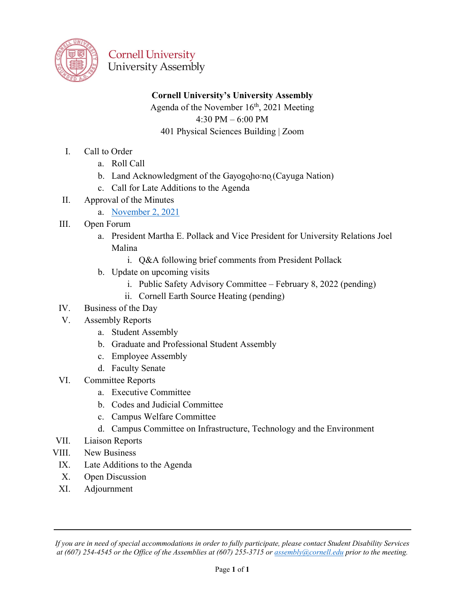

### **Cornell University's University Assembly**

Agenda of the November  $16<sup>th</sup>$ , 2021 Meeting 4:30 PM – 6:00 PM 401 Physical Sciences Building | Zoom

- I. Call to Order
	- a. Roll Call
	- b. Land Acknowledgment of the Gayogoho:no (Cayuga Nation)
	- c. Call for Late Additions to the Agenda
- II. Approval of the Minutes
	- a. [November 2, 2021](https://cornell.box.com/s/r3rz86id7j4p9y77zuyz7xx2de34op7y)
- III. Open Forum
	- a. President Martha E. Pollack and Vice President for University Relations Joel Malina
		- i. Q&A following brief comments from President Pollack
	- b. Update on upcoming visits
		- i. Public Safety Advisory Committee February 8, 2022 (pending)
		- ii. Cornell Earth Source Heating (pending)
- IV. Business of the Day
- V. Assembly Reports
	- a. Student Assembly
	- b. Graduate and Professional Student Assembly
	- c. Employee Assembly
	- d. Faculty Senate
- VI. Committee Reports
	- a. Executive Committee
	- b. Codes and Judicial Committee
	- c. Campus Welfare Committee
	- d. Campus Committee on Infrastructure, Technology and the Environment
- VII. Liaison Reports
- VIII. New Business
	- IX. Late Additions to the Agenda
	- X. Open Discussion
	- XI. Adjournment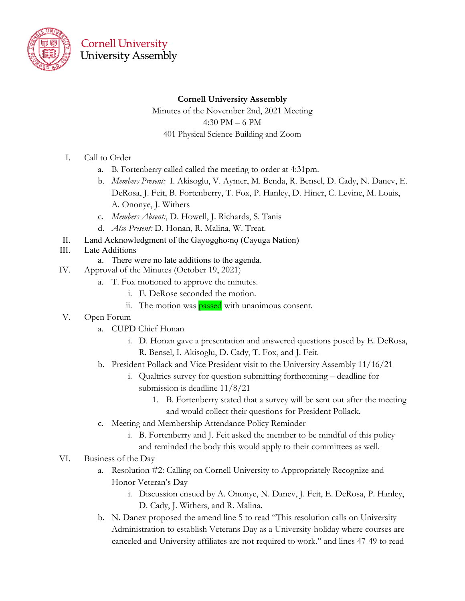

#### **Cornell University Assembly**

Minutes of the November 2nd, 2021 Meeting 4:30 PM – 6 PM 401 Physical Science Building and Zoom

- I. Call to Order
	- a. B. Fortenberry called called the meeting to order at 4:31pm.
	- b. *Members Present:* I. Akisoglu, V. Aymer, M. Benda, R. Bensel, D. Cady, N. Danev, E. DeRosa, J. Feit, B. Fortenberry, T. Fox, P. Hanley, D. Hiner, C. Levine, M. Louis, A. Ononye, J. Withers
	- c. *Members Absent:*, D. Howell, J. Richards, S. Tanis
	- d. *Also Present:* D. Honan, R. Malina, W. Treat.
- II. Land Acknowledgment of the Gayogolono (Cayuga Nation)
- III. Late Additions
	- a. There were no late additions to the agenda.
- IV. Approval of the Minutes (October 19, 2021)
	- a. T. Fox motioned to approve the minutes.
		- i. E. DeRose seconded the motion.
		- ii. The motion was **passed** with unanimous consent.
- V. Open Forum
	- a. CUPD Chief Honan
		- i. D. Honan gave a presentation and answered questions posed by E. DeRosa, R. Bensel, I. Akisoglu, D. Cady, T. Fox, and J. Feit.
	- b. President Pollack and Vice President visit to the University Assembly 11/16/21
		- i. Qualtrics survey for question submitting forthcoming deadline for submission is deadline 11/8/21
			- 1. B. Fortenberry stated that a survey will be sent out after the meeting and would collect their questions for President Pollack.
	- c. Meeting and Membership Attendance Policy Reminder
		- i. B. Fortenberry and J. Feit asked the member to be mindful of this policy and reminded the body this would apply to their committees as well.
- VI. Business of the Day
	- a. Resolution #2: Calling on Cornell University to Appropriately Recognize and Honor Veteran's Day
		- i. Discussion ensued by A. Ononye, N. Danev, J. Feit, E. DeRosa, P. Hanley, D. Cady, J. Withers, and R. Malina.
	- b. N. Danev proposed the amend line 5 to read "This resolution calls on University Administration to establish Veterans Day as a University-holiday where courses are canceled and University affiliates are not required to work." and lines 47-49 to read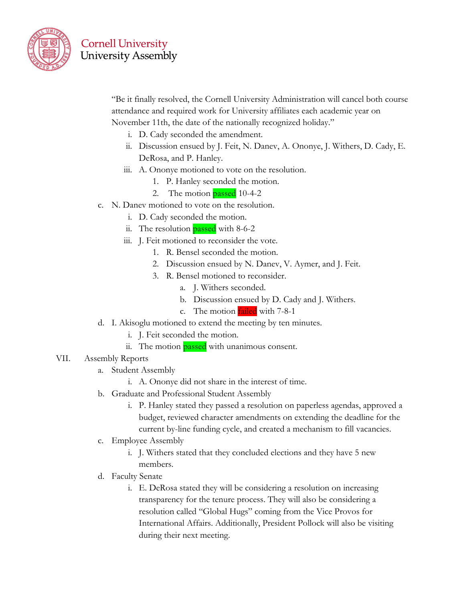

"Be it finally resolved, the Cornell University Administration will cancel both course attendance and required work for University affiliates each academic year on November 11th, the date of the nationally recognized holiday."

- i. D. Cady seconded the amendment.
- ii. Discussion ensued by J. Feit, N. Danev, A. Ononye, J. Withers, D. Cady, E. DeRosa, and P. Hanley.
- iii. A. Ononye motioned to vote on the resolution.
	- 1. P. Hanley seconded the motion.
	- 2. The motion  $_{\text{passed}}$  10-4-2
- c. N. Danev motioned to vote on the resolution.
	- i. D. Cady seconded the motion.
	- ii. The resolution **passed** with 8-6-2
	- iii. J. Feit motioned to reconsider the vote.
		- 1. R. Bensel seconded the motion.
		- 2. Discussion ensued by N. Danev, V. Aymer, and J. Feit.
		- 3. R. Bensel motioned to reconsider.
			- a. J. Withers seconded.
			- b. Discussion ensued by D. Cady and J. Withers.
			- c. The motion **failed** with 7-8-1
- d. I. Akisoglu motioned to extend the meeting by ten minutes.
	- i. J. Feit seconded the motion.
	- ii. The motion **passed** with unanimous consent.
- VII. Assembly Reports
	- a. Student Assembly
		- i. A. Ononye did not share in the interest of time.
	- b. Graduate and Professional Student Assembly
		- i. P. Hanley stated they passed a resolution on paperless agendas, approved a budget, reviewed character amendments on extending the deadline for the current by-line funding cycle, and created a mechanism to fill vacancies.
	- c. Employee Assembly
		- i. J. Withers stated that they concluded elections and they have 5 new members.
	- d. Faculty Senate
		- i. E. DeRosa stated they will be considering a resolution on increasing transparency for the tenure process. They will also be considering a resolution called "Global Hugs" coming from the Vice Provos for International Affairs. Additionally, President Pollock will also be visiting during their next meeting.